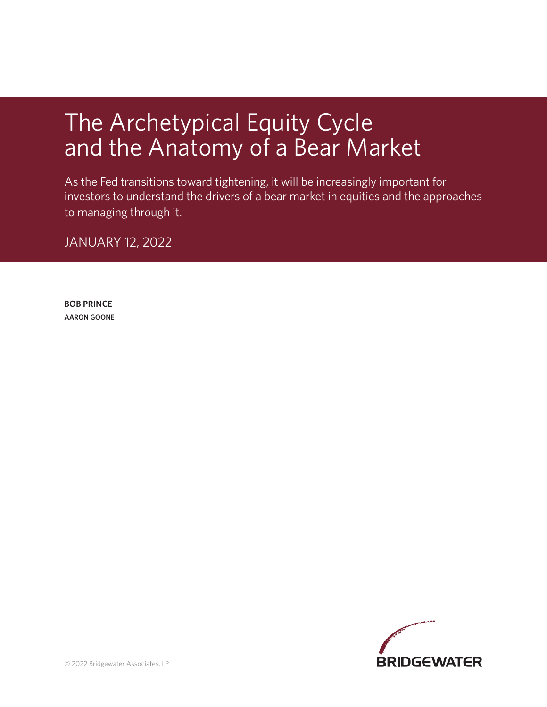# The Archetypical Equity Cycle and the Anatomy of a Bear Market

As the Fed transitions toward tightening, it will be increasingly important for investors to understand the drivers of a bear market in equities and the approaches to managing through it.

JANUARY 12, 2022

**BOB PRINCE AARON GOONE**

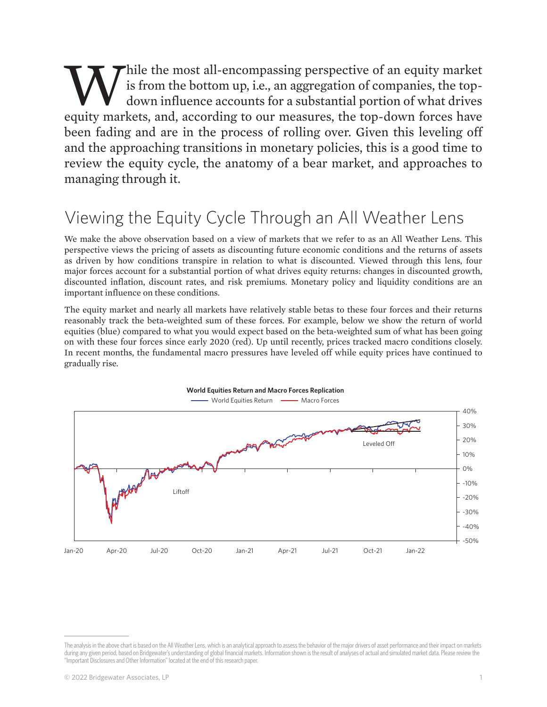While the most all-encompassing perspective of an equity market<br>is from the bottom up, i.e., an aggregation of companies, the top-<br>down influence accounts for a substantial portion of what drives<br>equity markets, and, accor is from the bottom up, i.e., an aggregation of companies, the topdown influence accounts for a substantial portion of what drives equity markets, and, according to our measures, the top-down forces have been fading and are in the process of rolling over. Given this leveling off and the approaching transitions in monetary policies, this is a good time to review the equity cycle, the anatomy of a bear market, and approaches to managing through it.

## Viewing the Equity Cycle Through an All Weather Lens

We make the above observation based on a view of markets that we refer to as an All Weather Lens. This perspective views the pricing of assets as discounting future economic conditions and the returns of assets as driven by how conditions transpire in relation to what is discounted. Viewed through this lens, four major forces account for a substantial portion of what drives equity returns: changes in discounted growth, discounted inflation, discount rates, and risk premiums. Monetary policy and liquidity conditions are an important influence on these conditions.

The equity market and nearly all markets have relatively stable betas to these four forces and their returns reasonably track the beta-weighted sum of these forces. For example, below we show the return of world equities (blue) compared to what you would expect based on the beta-weighted sum of what has been going on with these four forces since early 2020 (red). Up until recently, prices tracked macro conditions closely. In recent months, the fundamental macro pressures have leveled off while equity prices have continued to gradually rise.



The analysis in the above chart is based on the All Weather Lens, which is an analytical approach to assess the behavior of the major drivers of asset performance and their impact on markets during any given period, based on Bridgewater's understanding of global financial markets. Information shown is the result of analyses of actual and simulated market data. Please review the "Important Disclosures and Other Information" located at the end of this research paper.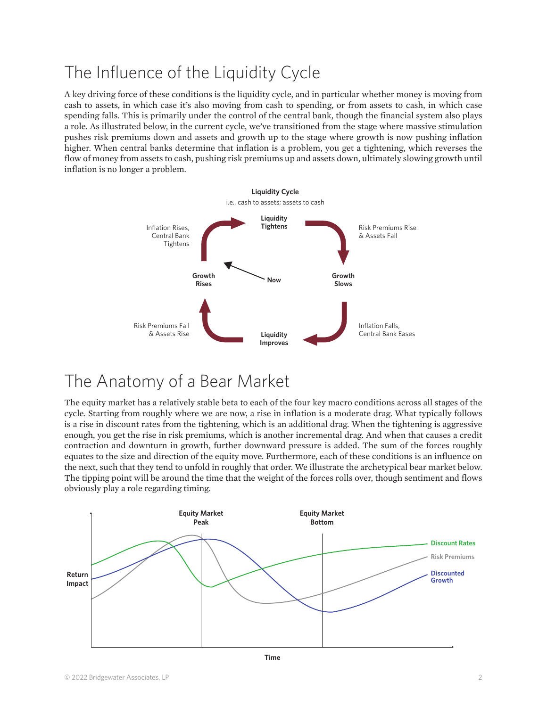# The Influence of the Liquidity Cycle

A key driving force of these conditions is the liquidity cycle, and in particular whether money is moving from cash to assets, in which case it's also moving from cash to spending, or from assets to cash, in which case spending falls. This is primarily under the control of the central bank, though the financial system also plays a role. As illustrated below, in the current cycle, we've transitioned from the stage where massive stimulation pushes risk premiums down and assets and growth up to the stage where growth is now pushing inflation higher. When central banks determine that inflation is a problem, you get a tightening, which reverses the flow of money from assets to cash, pushing risk premiums up and assets down, ultimately slowing growth until inflation is no longer a problem.



### The Anatomy of a Bear Market

The equity market has a relatively stable beta to each of the four key macro conditions across all stages of the cycle. Starting from roughly where we are now, a rise in inflation is a moderate drag. What typically follows is a rise in discount rates from the tightening, which is an additional drag. When the tightening is aggressive enough, you get the rise in risk premiums, which is another incremental drag. And when that causes a credit contraction and downturn in growth, further downward pressure is added. The sum of the forces roughly equates to the size and direction of the equity move. Furthermore, each of these conditions is an influence on the next, such that they tend to unfold in roughly that order. We illustrate the archetypical bear market below. The tipping point will be around the time that the weight of the forces rolls over, though sentiment and flows obviously play a role regarding timing.

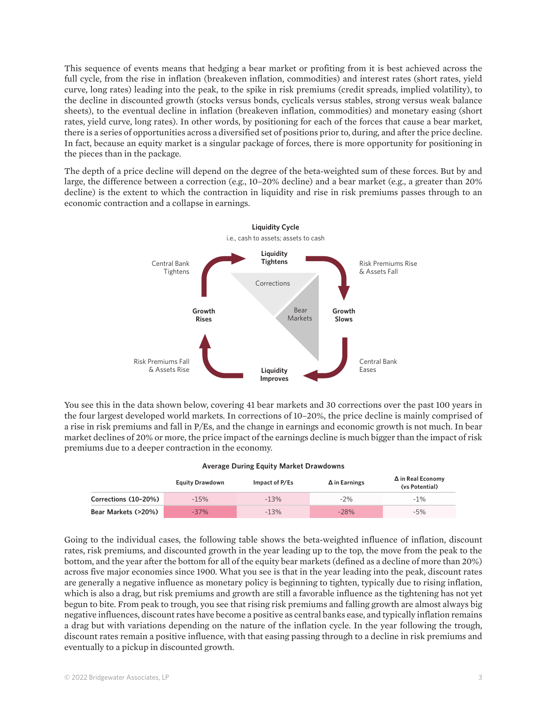This sequence of events means that hedging a bear market or profiting from it is best achieved across the full cycle, from the rise in inflation (breakeven inflation, commodities) and interest rates (short rates, yield curve, long rates) leading into the peak, to the spike in risk premiums (credit spreads, implied volatility), to the decline in discounted growth (stocks versus bonds, cyclicals versus stables, strong versus weak balance sheets), to the eventual decline in inflation (breakeven inflation, commodities) and monetary easing (short rates, yield curve, long rates). In other words, by positioning for each of the forces that cause a bear market, there is a series of opportunities across a diversified set of positions prior to, during, and after the price decline. In fact, because an equity market is a singular package of forces, there is more opportunity for positioning in the pieces than in the package.

The depth of a price decline will depend on the degree of the beta-weighted sum of these forces. But by and large, the difference between a correction (e.g., 10–20% decline) and a bear market (e.g., a greater than 20% decline) is the extent to which the contraction in liquidity and rise in risk premiums passes through to an economic contraction and a collapse in earnings.



You see this in the data shown below, covering 41 bear markets and 30 corrections over the past 100 years in the four largest developed world markets. In corrections of 10–20%, the price decline is mainly comprised of a rise in risk premiums and fall in P/Es, and the change in earnings and economic growth is not much. In bear market declines of 20% or more, the price impact of the earnings decline is much bigger than the impact of risk premiums due to a deeper contraction in the economy.

|                      | <b>Equity Drawdown</b> | Impact of P/Es | $\Delta$ in Earnings | $\Delta$ in Real Economy<br>(vs Potential) |  |  |  |  |  |  |
|----------------------|------------------------|----------------|----------------------|--------------------------------------------|--|--|--|--|--|--|
| Corrections (10-20%) | $-15%$                 | $-13%$         | $-2%$                | $-1\%$                                     |  |  |  |  |  |  |
| Bear Markets (>20%)  | $-37%$                 | $-13%$         | $-28%$               | $-5%$                                      |  |  |  |  |  |  |

**Average During Equity Market Drawdowns**

Going to the individual cases, the following table shows the beta-weighted influence of inflation, discount rates, risk premiums, and discounted growth in the year leading up to the top, the move from the peak to the bottom, and the year after the bottom for all of the equity bear markets (defined as a decline of more than 20%) across five major economies since 1900. What you see is that in the year leading into the peak, discount rates are generally a negative influence as monetary policy is beginning to tighten, typically due to rising inflation, which is also a drag, but risk premiums and growth are still a favorable influence as the tightening has not yet begun to bite. From peak to trough, you see that rising risk premiums and falling growth are almost always big negative influences, discount rates have become a positive as central banks ease, and typically inflation remains a drag but with variations depending on the nature of the inflation cycle. In the year following the trough, discount rates remain a positive influence, with that easing passing through to a decline in risk premiums and eventually to a pickup in discounted growth.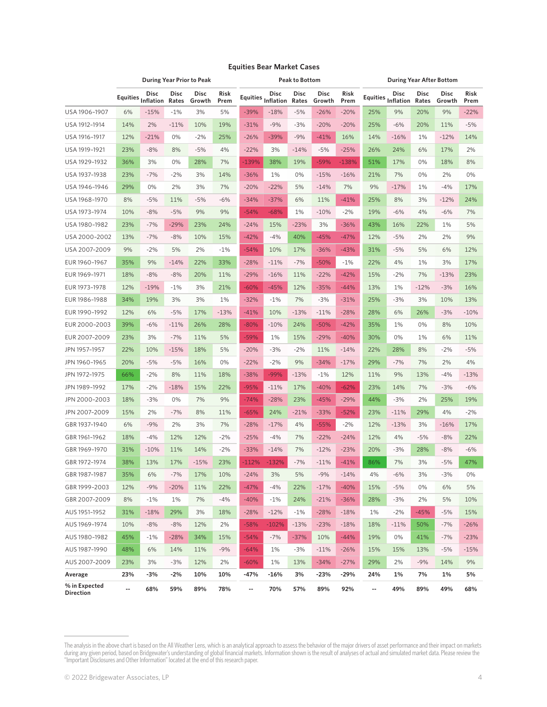|                            | <b>During Year Prior to Peak</b> |                    |               |                       | <b>Peak to Bottom</b> |         |                                        |               | <b>During Year After Bottom</b> |              |     |                                        |                      |                |              |
|----------------------------|----------------------------------|--------------------|---------------|-----------------------|-----------------------|---------|----------------------------------------|---------------|---------------------------------|--------------|-----|----------------------------------------|----------------------|----------------|--------------|
|                            |                                  | Equities Inflation | Disc<br>Rates | <b>Disc</b><br>Growth | <b>Risk</b><br>Prem   |         | Equities $\overline{\text{Inflation}}$ | Disc<br>Rates | <b>Disc</b><br>Growth           | Risk<br>Prem |     | Equities $\overline{\text{Inflation}}$ | <b>Disc</b><br>Rates | Disc<br>Growth | Risk<br>Prem |
| USA 1906-1907              | 6%                               | $-15%$             | $-1%$         | 3%                    | 5%                    | $-39%$  | $-18%$                                 | $-5%$         | $-26%$                          | $-20%$       | 25% | 9%                                     | 20%                  | 9%             | $-22%$       |
| USA 1912-1914              | 14%                              | 2%                 | $-11%$        | 10%                   | 19%                   | $-31%$  | $-9%$                                  | $-3%$         | $-20%$                          | $-20%$       | 25% | $-6%$                                  | 20%                  | 11%            | $-5%$        |
| USA 1916-1917              | 12%                              | $-21%$             | 0%            | $-2%$                 | 25%                   | $-26%$  | $-39%$                                 | $-9%$         | $-41%$                          | 16%          | 14% | $-16%$                                 | 1%                   | $-12%$         | 14%          |
| USA 1919-1921              | 23%                              | $-8%$              | 8%            | $-5%$                 | 4%                    | $-22%$  | 3%                                     | $-14%$        | $-5%$                           | $-25%$       | 26% | 24%                                    | 6%                   | 17%            | 2%           |
| USA 1929-1932              | 36%                              | 3%                 | 0%            | 28%                   | 7%                    | $-139%$ | 38%                                    | 19%           | $-59%$                          | $-138%$      | 51% | 17%                                    | 0%                   | 18%            | 8%           |
| USA 1937-1938              | 23%                              | $-7%$              | $-2%$         | 3%                    | 14%                   | $-36%$  | 1%                                     | 0%            | $-15%$                          | $-16%$       | 21% | 7%                                     | 0%                   | 2%             | 0%           |
| USA 1946-1946              | 29%                              | 0%                 | 2%            | 3%                    | 7%                    | $-20%$  | $-22%$                                 | 5%            | $-14%$                          | 7%           | 9%  | $-17%$                                 | 1%                   | $-4%$          | 17%          |
| USA 1968-1970              | 8%                               | $-5%$              | 11%           | $-5%$                 | $-6%$                 | $-34%$  | $-37%$                                 | 6%            | 11%                             | $-41%$       | 25% | 8%                                     | 3%                   | $-12%$         | 24%          |
| USA 1973-1974              | 10%                              | -8%                | $-5%$         | 9%                    | 9%                    | $-54%$  | $-68%$                                 | 1%            | $-10%$                          | $-2%$        | 19% | $-6%$                                  | 4%                   | $-6%$          | 7%           |
| USA 1980-1982              | 23%                              | $-7%$              | $-29%$        | 23%                   | 24%                   | $-24%$  | 15%                                    | $-23%$        | 3%                              | $-36%$       | 43% | 16%                                    | 22%                  | 1%             | 5%           |
| USA 2000-2002              | 13%                              | $-7%$              | $-8%$         | 10%                   | 15%                   | $-42%$  | $-4%$                                  | 40%           | $-45%$                          | $-47%$       | 12% | $-5%$                                  | 2%                   | 2%             | 9%           |
| USA 2007-2009              | 9%                               | -2%                | 5%            | 2%                    | $-1\%$                | $-54%$  | 10%                                    | 17%           | $-36%$                          | $-43%$       | 31% | $-5%$                                  | 5%                   | 6%             | 12%          |
| EUR 1960-1967              | 35%                              | 9%                 | $-14%$        | 22%                   | 33%                   | $-28%$  | $-11%$                                 | $-7%$         | $-50%$                          | $-1%$        | 22% | 4%                                     | 1%                   | 3%             | 17%          |
| EUR 1969-1971              | 18%                              | $-8%$              | $-8%$         | 20%                   | 11%                   | $-29%$  | $-16%$                                 | 11%           | $-22%$                          | $-42%$       | 15% | $-2%$                                  | 7%                   | $-13%$         | 23%          |
| EUR 1973-1978              | 12%                              | $-19%$             | $-1%$         | 3%                    | 21%                   | $-60%$  | $-45%$                                 | 12%           | $-35%$                          | $-44%$       | 13% | 1%                                     | $-12%$               | $-3%$          | 16%          |
| EUR 1986-1988              | 34%                              | 19%                | 3%            | 3%                    | 1%                    | $-32%$  | $-1\%$                                 | 7%            | $-3%$                           | $-31%$       | 25% | $-3%$                                  | 3%                   | 10%            | 13%          |
| EUR 1990-1992              | 12%                              | 6%                 | $-5%$         | 17%                   | $-13%$                | $-41%$  | 10%                                    | $-13%$        | $-11%$                          | $-28%$       | 28% | 6%                                     | 26%                  | $-3%$          | $-10%$       |
| EUR 2000-2003              | 39%                              | -6%                | $-11\%$       | 26%                   | 28%                   | $-80%$  | $-10%$                                 | 24%           | $-50%$                          | $-42%$       | 35% | 1%                                     | 0%                   | 8%             | 10%          |
| EUR 2007-2009              | 23%                              | 3%                 | $-7%$         | 11%                   | 5%                    | -59%    | 1%                                     | 15%           | $-29%$                          | $-40%$       | 30% | 0%                                     | 1%                   | 6%             | 11%          |
| JPN 1957-1957              | 22%                              | 10%                | $-15%$        | 18%                   | 5%                    | $-20%$  | $-3%$                                  | $-2%$         | 11%                             | $-14%$       | 22% | 28%                                    | 8%                   | $-2%$          | $-5%$        |
| JPN 1960-1965              | 20%                              | $-5%$              | $-5%$         | 16%                   | 0%                    | $-22%$  | $-2%$                                  | 9%            | $-34%$                          | $-17%$       | 29% | $-7%$                                  | 7%                   | 2%             | 4%           |
| JPN 1972-1975              | 66%                              | $-2%$              | 8%            | 11%                   | 18%                   | $-38%$  | $-99%$                                 | $-13%$        | $-1%$                           | 12%          | 11% | 9%                                     | 13%                  | $-4%$          | $-13%$       |
| JPN 1989-1992              | 17%                              | $-2%$              | $-18%$        | 15%                   | 22%                   | $-95%$  | $-11%$                                 | 17%           | $-40%$                          | $-62%$       | 23% | 14%                                    | 7%                   | $-3%$          | $-6%$        |
| JPN 2000-2003              | 18%                              | -3%                | 0%            | 7%                    | 9%                    | $-74%$  | $-28%$                                 | 23%           | $-45%$                          | $-29%$       | 44% | $-3%$                                  | 2%                   | 25%            | 19%          |
| JPN 2007-2009              | 15%                              | 2%                 | $-7%$         | 8%                    | 11%                   | $-65%$  | 24%                                    | $-21%$        | $-33%$                          | $-52%$       | 23% | $-11%$                                 | 29%                  | 4%             | $-2%$        |
| GBR 1937-1940              | 6%                               | $-9%$              | 2%            | 3%                    | 7%                    | $-28%$  | $-17%$                                 | 4%            | $-55%$                          | $-2%$        | 12% | $-13%$                                 | 3%                   | $-16%$         | 17%          |
| GBR 1961-1962              | 18%                              | $-4%$              | 12%           | 12%                   | $-2%$                 | $-25%$  | $-4%$                                  | 7%            | $-22%$                          | $-24%$       | 12% | 4%                                     | -5%                  | $-8%$          | 22%          |
| GBR 1969-1970              | 31%                              | $-10%$             | 11%           | 14%                   | $-2%$                 | $-33%$  | $-14%$                                 | 7%            | $-12%$                          | $-23%$       | 20% | $-3%$                                  | 28%                  | $-8%$          | $-6%$        |
| GBR 1972-1974              | 38%                              | 13%                | 17%           | $-15%$                | 23%                   | $-112%$ | $-132%$                                | $-7%$         | $-11%$                          | $-41%$       | 86% | 7%                                     | 3%                   | $-5%$          | 47%          |
| GBR 1987-1987              | 35%                              | 6%                 | $-7%$         | 17%                   | 10%                   | $-24%$  | 3%                                     | 5%            | $-9%$                           | $-14%$       | 4%  | $-6%$                                  | 3%                   | $-3%$          | 0%           |
| GBR 1999-2003              | 12%                              | $-9%$              | $-20%$        | 11%                   | 22%                   | $-47%$  | $-4%$                                  | 22%           | $-17%$                          | $-40%$       | 15% | $-5%$                                  | 0%                   | 6%             | 5%           |
| GBR 2007-2009              | 8%                               | $-1%$              | 1%            | 7%                    | $-4%$                 | $-40%$  | $-1%$                                  | 24%           | $-21%$                          | $-36%$       | 28% | $-3%$                                  | 2%                   | 5%             | 10%          |
| AUS 1951-1952              | 31%                              | $-18%$             | 29%           | 3%                    | 18%                   | $-28%$  | $-12%$                                 | $-1%$         | $-28%$                          | $-18%$       | 1%  | $-2%$                                  | $-45%$               | $-5%$          | 15%          |
| AUS 1969-1974              | 10%                              | $-8%$              | $-8%$         | 12%                   | 2%                    | $-58%$  | $-102%$                                | $-13%$        | $-23%$                          | $-18%$       | 18% | $-11%$                                 | 50%                  | $-7%$          | $-26%$       |
| AUS 1980-1982              | 45%                              | $-1%$              | $-28%$        | 34%                   | 15%                   | $-54%$  | $-7%$                                  | $-37%$        | 10%                             | $-44%$       | 19% | 0%                                     | 41%                  | $-7%$          | $-23%$       |
| AUS 1987-1990              | 48%                              | 6%                 | 14%           | 11%                   | $-9%$                 | $-64%$  | 1%                                     | $-3%$         | $-11%$                          | $-26%$       | 15% | 15%                                    | 13%                  | $-5%$          | $-15%$       |
| AUS 2007-2009              | 23%                              | 3%                 | $-3%$         | 12%                   | 2%                    | $-60%$  | 1%                                     | 13%           | $-34%$                          | $-27%$       | 29% | 2%                                     | $-9%$                | 14%            | 9%           |
| Average                    | 23%                              | $-3%$              | $-2%$         | 10%                   | 10%                   | -47%    | $-16%$                                 | 3%            | $-23%$                          | $-29%$       | 24% | 1%                                     | 7%                   | 1%             | 5%           |
| % in Expected<br>Direction | ۰.                               | 68%                | 59%           | 89%                   | 78%                   | ۰.      | 70%                                    | 57%           | 89%                             | 92%          | ۰.  | 49%                                    | 89%                  | 49%            | 68%          |

#### **Equities Bear Market Cases**

The analysis in the above chart is based on the All Weather Lens, which is an analytical approach to assess the behavior of the major drivers of asset performance and their impact on markets during any given period, based on Bridgewater's understanding of global financial markets. Information shown is the result of analyses of actual and simulated market data. Please review the "Important Disclosures and Other Information" located at the end of this research paper.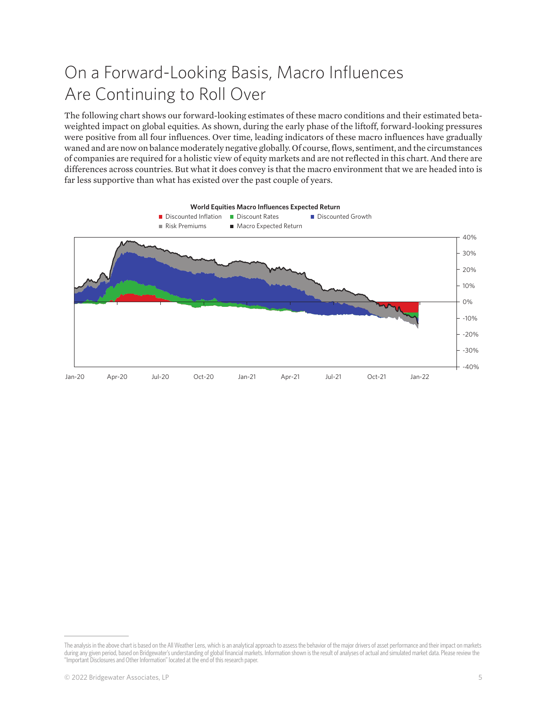# On a Forward-Looking Basis, Macro Influences Are Continuing to Roll Over

The following chart shows our forward-looking estimates of these macro conditions and their estimated betaweighted impact on global equities. As shown, during the early phase of the liftoff, forward-looking pressures were positive from all four influences. Over time, leading indicators of these macro influences have gradually waned and are now on balance moderately negative globally. Of course, flows, sentiment, and the circumstances of companies are required for a holistic view of equity markets and are not reflected in this chart. And there are differences across countries. But what it does convey is that the macro environment that we are headed into is far less supportive than what has existed over the past couple of years.



The analysis in the above chart is based on the All Weather Lens, which is an analytical approach to assess the behavior of the major drivers of asset performance and their impact on markets during any given period, based on Bridgewater's understanding of global financial markets. Information shown is the result of analyses of actual and simulated market data. Please review the "Important Disclosures and Other Information" located at the end of this research paper.